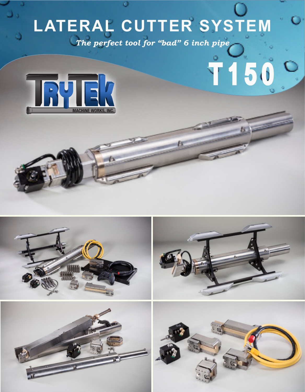# **LATERAL CUTTER SYSTEM**

T150 0 *The perfect tool for "bad" 6 inch pipe*